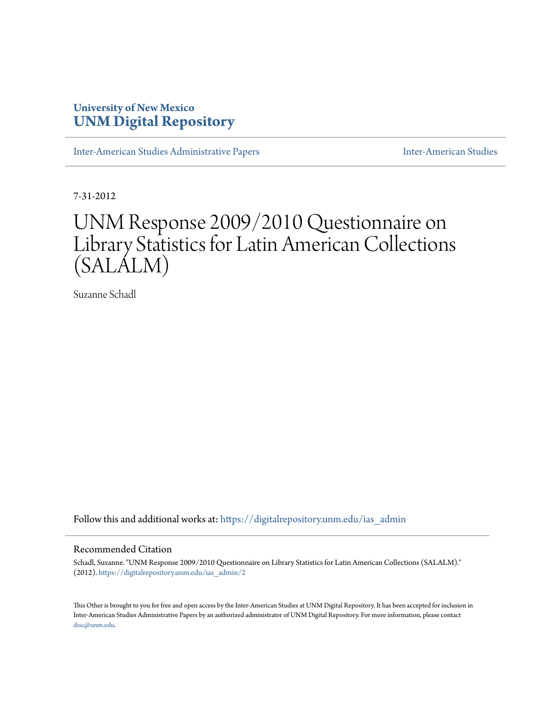## **University of New Mexico [UNM Digital Repository](https://digitalrepository.unm.edu?utm_source=digitalrepository.unm.edu%2Fias_admin%2F2&utm_medium=PDF&utm_campaign=PDFCoverPages)**

[Inter-American Studies Administrative Papers](https://digitalrepository.unm.edu/ias_admin?utm_source=digitalrepository.unm.edu%2Fias_admin%2F2&utm_medium=PDF&utm_campaign=PDFCoverPages) **[Inter-American Studies](https://digitalrepository.unm.edu/ias?utm_source=digitalrepository.unm.edu%2Fias_admin%2F2&utm_medium=PDF&utm_campaign=PDFCoverPages)** Inter-American Studies

7-31-2012

# UNM Response 2009/2010 Questionnaire on Library Statistics for Latin American Collections (SALALM)

Suzanne Schadl

Follow this and additional works at: [https://digitalrepository.unm.edu/ias\\_admin](https://digitalrepository.unm.edu/ias_admin?utm_source=digitalrepository.unm.edu%2Fias_admin%2F2&utm_medium=PDF&utm_campaign=PDFCoverPages)

#### Recommended Citation

Schadl, Suzanne. "UNM Response 2009/2010 Questionnaire on Library Statistics for Latin American Collections (SALALM)." (2012). [https://digitalrepository.unm.edu/ias\\_admin/2](https://digitalrepository.unm.edu/ias_admin/2?utm_source=digitalrepository.unm.edu%2Fias_admin%2F2&utm_medium=PDF&utm_campaign=PDFCoverPages)

This Other is brought to you for free and open access by the Inter-American Studies at UNM Digital Repository. It has been accepted for inclusion in Inter-American Studies Administrative Papers by an authorized administrator of UNM Digital Repository. For more information, please contact [disc@unm.edu](mailto:disc@unm.edu).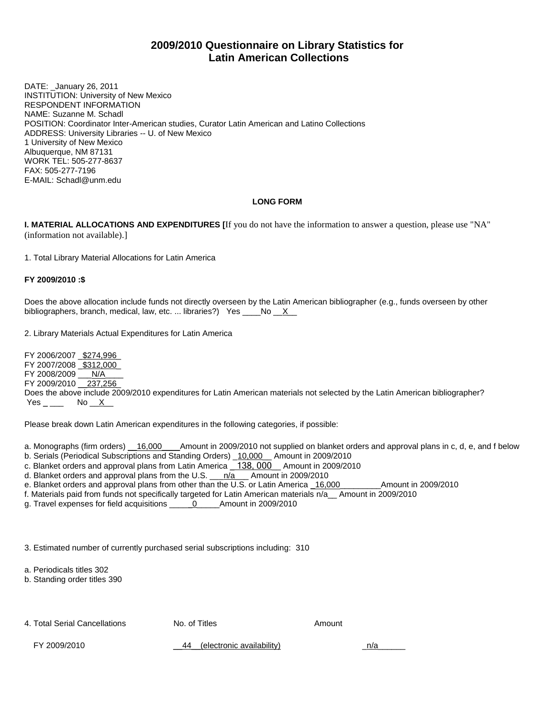## **2009/2010 Questionnaire on Library Statistics for Latin American Collections**

DATE: \_January 26, 2011 INSTITUTION: University of New Mexico RESPONDENT INFORMATION NAME: Suzanne M. Schadl POSITION: Coordinator Inter-American studies, Curator Latin American and Latino Collections ADDRESS: University Libraries -- U. of New Mexico 1 University of New Mexico Albuquerque, NM 87131 WORK TEL: 505-277-8637 FAX: 505-277-7196 E-MAIL: Schadl@unm.edu

#### **LONG FORM**

**I. MATERIAL ALLOCATIONS AND EXPENDITURES [**If you do not have the information to answer a question, please use "NA" (information not available).]

1. Total Library Material Allocations for Latin America

#### **FY 2009/2010 :\$**

Does the above allocation include funds not directly overseen by the Latin American bibliographer (e.g., funds overseen by other bibliographers, branch, medical, law, etc. ... libraries?) Yes  $\_\_\_\_No \_\_X\_\_$ 

2. Library Materials Actual Expenditures for Latin America

FY 2006/2007 \_\$274,996\_ FY 2007/2008 \$312,000 FY 2008/2009 \_\_\_ N/A\_ FY 2009/2010 237,256 Does the above include 2009/2010 expenditures for Latin American materials not selected by the Latin American bibliographer?  $Yes \_\_\_\_\$  No  $X$ 

Please break down Latin American expenditures in the following categories, if possible:

a. Monographs (firm orders) 16,000 \_\_\_ Amount in 2009/2010 not supplied on blanket orders and approval plans in c, d, e, and f below

- b. Serials (Periodical Subscriptions and Standing Orders) \_10,000 \_ Amount in 2009/2010
- c. Blanket orders and approval plans from Latin America \_ 138, 000\_\_ Amount in 2009/2010
- d. Blanket orders and approval plans from the U.S. \_\_\_n/a\_\_\_ Amount in 2009/2010
- e. Blanket orders and approval plans from other than the U.S. or Latin America <u>\_16,000</u>\_\_\_\_\_\_\_\_Amount in 2009/2010
- f. Materials paid from funds not specifically targeted for Latin American materials n/a\_\_ Amount in 2009/2010
- g. Travel expenses for field acquisitions \_\_\_\_\_0\_\_\_\_\_Amount in 2009/2010

3. Estimated number of currently purchased serial subscriptions including: 310

a. Periodicals titles 302

b. Standing order titles 390

4. Total Serial Cancellations **No. of Titles** Amount **Amount** 

FY 2009/2010  $-44$  (electronic availability)  $n/a$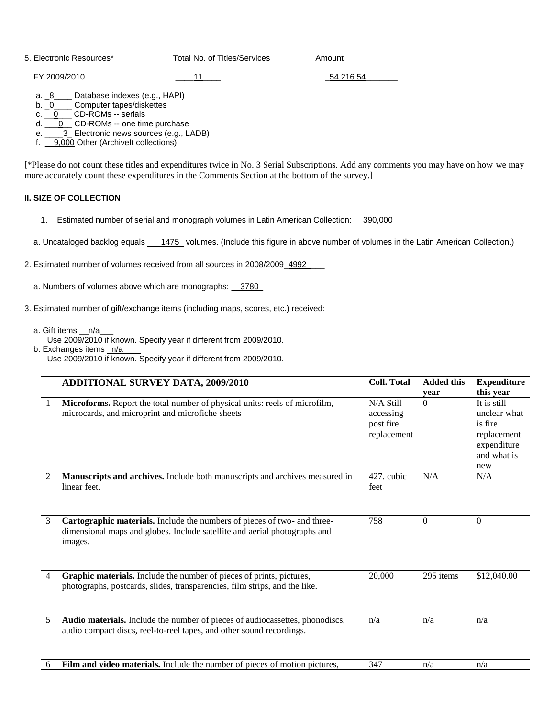5. Electronic Resources\* Total No. of Titles/Services Amount

FY 2009/2010 **Example 2009/2010 11 Example 2009/2010 54,216.54** 

a. 8\_\_\_\_ Database indexes (e.g., HAPI)

b. 0\_\_\_\_\_ Computer tapes/diskettes

c. <u>\_\_0</u> \_\_\_ CD-ROMs -- serials

d. <u>\_\_\_0\_\_</u> CD-ROMs -- one time purchase

e. \_\_\_\_3\_ Electronic news sources (e.g., LADB)

f. \_\_9,000 Other (ArchiveIt collections)

[\*Please do not count these titles and expenditures twice in No. 3 Serial Subscriptions. Add any comments you may have on how we may more accurately count these expenditures in the Comments Section at the bottom of the survey.]

#### **II. SIZE OF COLLECTION**

- 1. Estimated number of serial and monograph volumes in Latin American Collection: \_\_390,000\_\_
- a. Uncataloged backlog equals \_\_\_1475\_volumes. (Include this figure in above number of volumes in the Latin American Collection.)
- 2. Estimated number of volumes received from all sources in 2008/2009\_4992\_\_\_\_
	- a. Numbers of volumes above which are monographs: \_\_3780\_
- 3. Estimated number of gift/exchange items (including maps, scores, etc.) received:
	- a. Gift items n/a
		- Use 2009/2010 if known. Specify year if different from 2009/2010.
	- b. Exchanges items \_n/a Use 2009/2010 if known. Specify year if different from 2009/2010.

|                | ADDITIONAL SURVEY DATA, 2009/2010                                                                                                                                | <b>Coll. Total</b>                                 | <b>Added this</b> | <b>Expenditure</b>                                                                                      |
|----------------|------------------------------------------------------------------------------------------------------------------------------------------------------------------|----------------------------------------------------|-------------------|---------------------------------------------------------------------------------------------------------|
| 1              | Microforms. Report the total number of physical units: reels of microfilm,<br>microcards, and microprint and microfiche sheets                                   | N/A Still<br>accessing<br>post fire<br>replacement | vear<br>$\Omega$  | this year<br>It is still<br>unclear what<br>is fire<br>replacement<br>expenditure<br>and what is<br>new |
| $\overline{2}$ | Manuscripts and archives. Include both manuscripts and archives measured in<br>linear feet.                                                                      | 427. cubic<br>feet                                 | N/A               | N/A                                                                                                     |
| 3              | Cartographic materials. Include the numbers of pieces of two- and three-<br>dimensional maps and globes. Include satellite and aerial photographs and<br>images. | 758                                                | $\Omega$          | $\Omega$                                                                                                |
| 4              | Graphic materials. Include the number of pieces of prints, pictures,<br>photographs, postcards, slides, transparencies, film strips, and the like.               | 20,000                                             | 295 items         | \$12,040.00                                                                                             |
| 5              | Audio materials. Include the number of pieces of audiocassettes, phonodiscs,<br>audio compact discs, reel-to-reel tapes, and other sound recordings.             | n/a                                                | n/a               | n/a                                                                                                     |
| 6              | Film and video materials. Include the number of pieces of motion pictures,                                                                                       | 347                                                | n/a               | n/a                                                                                                     |